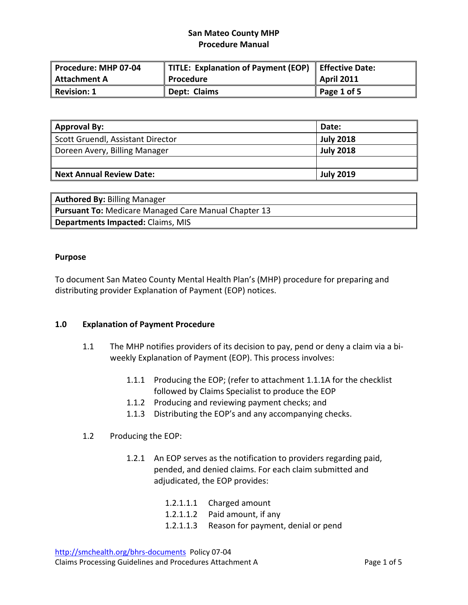| Procedure: MHP 07-04 | TITLE: Explanation of Payment (EOP) Effective Date: |                   |
|----------------------|-----------------------------------------------------|-------------------|
| Attachment A         | Procedure                                           | <b>April 2011</b> |
| Revision: 1          | Dept: Claims                                        | Page 1 of 5       |

| Approval By:                      | Date:            |
|-----------------------------------|------------------|
| Scott Gruendl, Assistant Director | <b>July 2018</b> |
| Doreen Avery, Billing Manager     | <b>July 2018</b> |
|                                   |                  |
| Next Annual Review Date:          | <b>July 2019</b> |

| <b>Authored By: Billing Manager</b>                         |
|-------------------------------------------------------------|
| <b>Pursuant To: Medicare Managed Care Manual Chapter 13</b> |
| <b>Departments Impacted: Claims, MIS</b>                    |

#### **Purpose**

To document San Mateo County Mental Health Plan's (MHP) procedure for preparing and distributing provider Explanation of Payment (EOP) notices.

### **1.0 Explanation of Payment Procedure**

- 1.1 The MHP notifies providers of its decision to pay, pend or deny a claim via a bi‐ weekly Explanation of Payment (EOP). This process involves:
	- 1.1.1 Producing the EOP; (refer to attachment 1.1.1A for the checklist followed by Claims Specialist to produce the EOP
	- 1.1.2 Producing and reviewing payment checks; and
	- 1.1.3 Distributing the EOP's and any accompanying checks.

### 1.2 Producing the EOP:

1.2.1 An EOP serves as the notification to providers regarding paid, pended, and denied claims. For each claim submitted and adjudicated, the EOP provides:

| 1.2.1.1.1<br>Charged amount |  |
|-----------------------------|--|
|-----------------------------|--|

- 1.2.1.1.2 Paid amount, if any
- 1.2.1.1.3 Reason for payment, denial or pend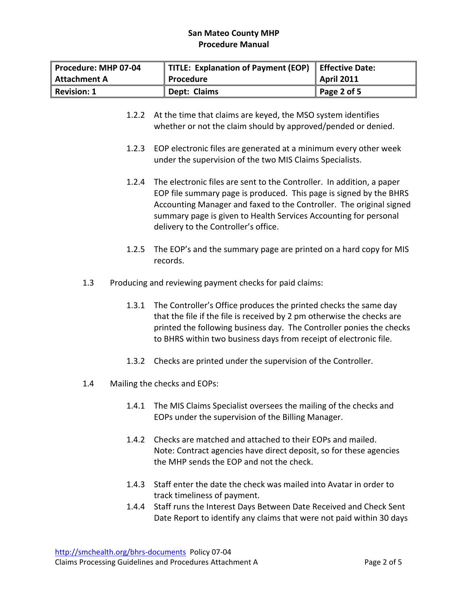| Procedure: MHP 07-04 | TITLE: Explanation of Payment (EOP) | <b>Effective Date:</b> |
|----------------------|-------------------------------------|------------------------|
| Attachment A         | Procedure                           | <b>April 2011</b>      |
| Revision: 1          | Dept: Claims                        | Page 2 of 5            |

- 1.2.2 At the time that claims are keyed, the MSO system identifies whether or not the claim should by approved/pended or denied.
- 1.2.3 EOP electronic files are generated at a minimum every other week under the supervision of the two MIS Claims Specialists.
- 1.2.4 The electronic files are sent to the Controller. In addition, a paper EOP file summary page is produced. This page is signed by the BHRS Accounting Manager and faxed to the Controller. The original signed summary page is given to Health Services Accounting for personal delivery to the Controller's office.
- 1.2.5 The EOP's and the summary page are printed on a hard copy for MIS records.
- 1.3 Producing and reviewing payment checks for paid claims:
	- 1.3.1 The Controller's Office produces the printed checks the same day that the file if the file is received by 2 pm otherwise the checks are printed the following business day. The Controller ponies the checks to BHRS within two business days from receipt of electronic file.
	- 1.3.2 Checks are printed under the supervision of the Controller.
- 1.4 Mailing the checks and EOPs:
	- 1.4.1 The MIS Claims Specialist oversees the mailing of the checks and EOPs under the supervision of the Billing Manager.
	- 1.4.2 Checks are matched and attached to their EOPs and mailed. Note: Contract agencies have direct deposit, so for these agencies the MHP sends the EOP and not the check.
	- 1.4.3 Staff enter the date the check was mailed into Avatar in order to track timeliness of payment.
	- 1.4.4 Staff runs the Interest Days Between Date Received and Check Sent Date Report to identify any claims that were not paid within 30 days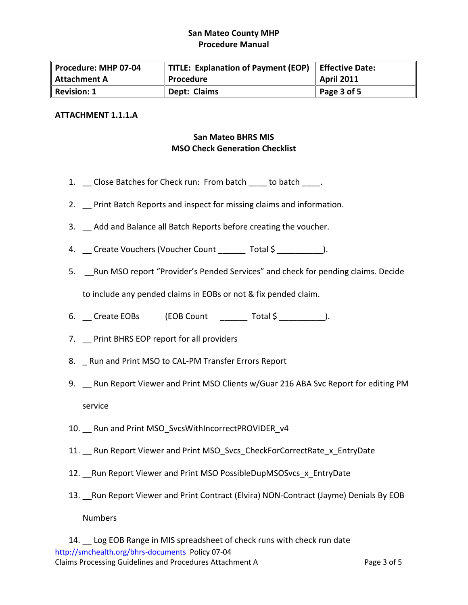| Procedure: MHP 07-04    | TITLE: Explanation of Payment (EOP) | Effective Date:   |
|-------------------------|-------------------------------------|-------------------|
| Attachment A            | Procedure                           | <b>April 2011</b> |
| $\parallel$ Revision: 1 | Dept: Claims                        | Page 3 of 5       |

#### **ATTACHMENT 1.1.1.A**

# **San Mateo BHRS MIS MSO Check Generation Checklist**

- 1. Close Batches for Check run: From batch to batch .
- 2. Print Batch Reports and inspect for missing claims and information.
- 3. Add and Balance all Batch Reports before creating the voucher.
- 4. Create Vouchers (Voucher Count Total \$  $\qquad$  ).
- 5. \_\_Run MSO report "Provider's Pended Services" and check for pending claims. Decide

to include any pended claims in EOBs or not & fix pended claim.

- 6. \_\_ Create EOBs (EOB Count \_\_\_\_\_\_\_ Total \$ \_\_\_\_\_\_\_\_\_\_).
- 7. \_\_ Print BHRS EOP report for all providers
- 8. \_ Run and Print MSO to CAL-PM Transfer Errors Report
- 9. \_ Run Report Viewer and Print MSO Clients w/Guar 216 ABA Svc Report for editing PM service
- 10. Run and Print MSO\_SvcsWithIncorrectPROVIDER\_v4
- 11. Run Report Viewer and Print MSO\_Svcs\_CheckForCorrectRate\_x\_EntryDate
- 12. Run Report Viewer and Print MSO PossibleDupMSOSvcs x EntryDate
- 13. Run Report Viewer and Print Contract (Elvira) NON-Contract (Jayme) Denials By EOB

Numbers

http://smchealth.org/bhrs‐documents Policy 07‐04 Claims Processing Guidelines and Procedures Attachment A Page 3 of 5 14. Log EOB Range in MIS spreadsheet of check runs with check run date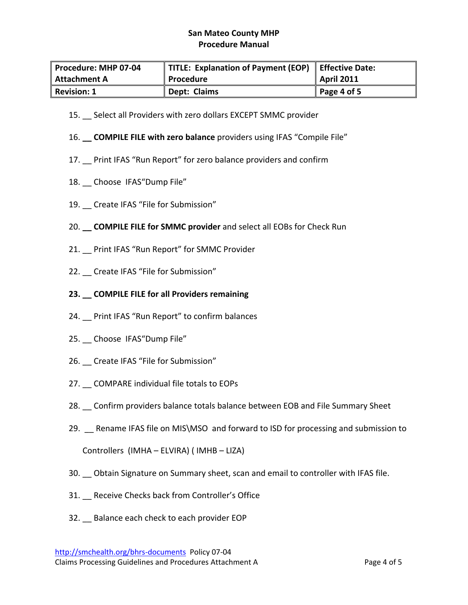| Procedure: MHP 07-04 | TITLE: Explanation of Payment (EOP) | Effective Date:     |
|----------------------|-------------------------------------|---------------------|
| Attachment A         | Procedure                           | April 2011          |
| Revision: 1          | Dept: Claims                        | $\vert$ Page 4 of 5 |

- 15. Select all Providers with zero dollars EXCEPT SMMC provider
- 16. **\_\_ COMPILE FILE with zero balance** providers using IFAS "Compile File"
- 17. \_\_ Print IFAS "Run Report" for zero balance providers and confirm
- 18. Choose IFAS"Dump File"
- 19. Create IFAS "File for Submission"
- 20. **\_\_ COMPILE FILE for SMMC provider** and select all EOBs for Check Run
- 21. Print IFAS "Run Report" for SMMC Provider
- 22. Create IFAS "File for Submission"
- **23. \_\_ COMPILE FILE for all Providers remaining**
- 24. \_\_ Print IFAS "Run Report" to confirm balances
- 25. \_\_ Choose IFAS"Dump File"
- 26. \_\_ Create IFAS "File for Submission"
- 27. \_\_ COMPARE individual file totals to EOPs
- 28. Confirm providers balance totals balance between EOB and File Summary Sheet
- 29. Rename IFAS file on MIS\MSO and forward to ISD for processing and submission to Controllers (IMHA – ELVIRA) ( IMHB – LIZA)
- 30. \_\_ Obtain Signature on Summary sheet, scan and email to controller with IFAS file.
- 31. Receive Checks back from Controller's Office
- 32. Balance each check to each provider EOP